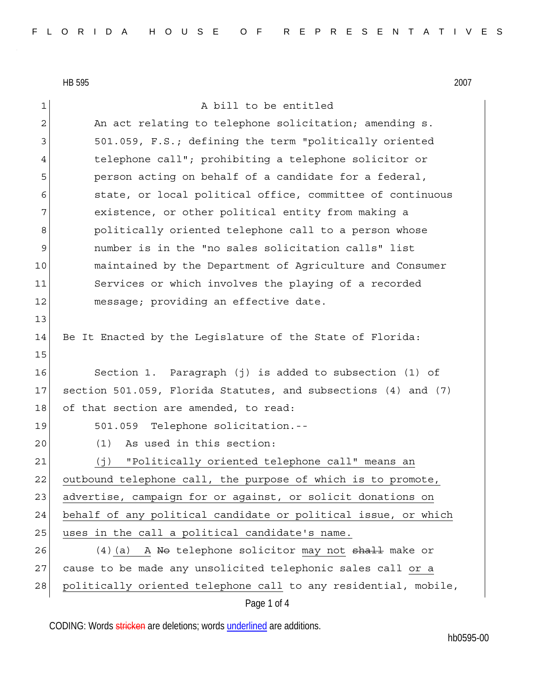13

15

1 a bill to be entitled 2 An act relating to telephone solicitation; amending s. 3 501.059, F.S.; defining the term "politically oriented 4 telephone call"; prohibiting a telephone solicitor or 5 **person acting on behalf of a candidate for a federal,** 6 state, or local political office, committee of continuous 7 existence, or other political entity from making a 8 | bolitically oriented telephone call to a person whose 9 number is in the "no sales solicitation calls" list 10 maintained by the Department of Agriculture and Consumer 11 Services or which involves the playing of a recorded 12 message; providing an effective date. 14 Be It Enacted by the Legislature of the State of Florida: 16 Section 1. Paragraph (j) is added to subsection (1) of 17 section 501.059, Florida Statutes, and subsections (4) and (7) 18 of that section are amended, to read: 19 501.059 Telephone solicitation.-- 20 (1) As used in this section: 21 (j) "Politically oriented telephone call" means an 22 outbound telephone call, the purpose of which is to promote, 23 advertise, campaign for or against, or solicit donations on 24 behalf of any political candidate or political issue, or which 25 uses in the call a political candidate's name. 26 (4)(a) A <del>No</del> telephone solicitor may not <del>shall</del> make or 27 cause to be made any unsolicited telephonic sales call or a

28 politically oriented telephone call to any residential, mobile,

## Page 1 of 4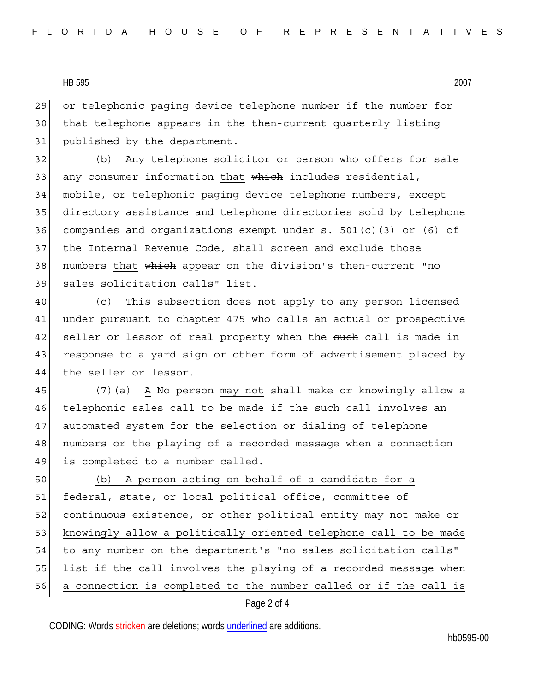29 or telephonic paging device telephone number if the number for 30 that telephone appears in the then-current quarterly listing 31 published by the department.

32 (b) Any telephone solicitor or person who offers for sale 33 any consumer information that which includes residential, 34 mobile, or telephonic paging device telephone numbers, except 35 directory assistance and telephone directories sold by telephone 36 companies and organizations exempt under  $s. 501(c)$  (3) or (6) of 37 the Internal Revenue Code, shall screen and exclude those 38 | numbers that which appear on the division's then-current "no 39 sales solicitation calls" list.

40 (c) This subsection does not apply to any person licensed 41 under pursuant to chapter 475 who calls an actual or prospective 42 seller or lessor of real property when the such call is made in 43 response to a yard sign or other form of advertisement placed by 44 the seller or lessor.

45 (7)(a) A No person may not shall make or knowingly allow a 46 telephonic sales call to be made if the such call involves an 47 automated system for the selection or dialing of telephone 48 numbers or the playing of a recorded message when a connection 49 is completed to a number called.

50 (b) A person acting on behalf of a candidate for a 51 federal, state, or local political office, committee of 52 continuous existence, or other political entity may not make or 53 knowingly allow a politically oriented telephone call to be made 54 to any number on the department's "no sales solicitation calls" 55 list if the call involves the playing of a recorded message when 56 a connection is completed to the number called or if the call is

## Page 2 of 4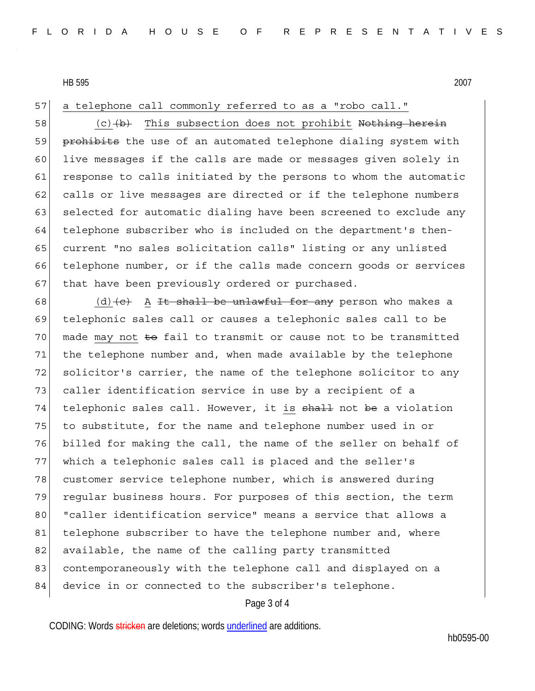57 a telephone call commonly referred to as a "robo call."

58  $(c)$   $(b)$  This subsection does not prohibit Nothing herein 59 prohibits the use of an automated telephone dialing system with 60 live messages if the calls are made or messages given solely in 61 response to calls initiated by the persons to whom the automatic 62 calls or live messages are directed or if the telephone numbers 63 selected for automatic dialing have been screened to exclude any 64 telephone subscriber who is included on the department's then-65 current "no sales solicitation calls" listing or any unlisted 66 telephone number, or if the calls made concern goods or services 67 that have been previously ordered or purchased.

68 (d)  $\left\{ \left( e \right)$  A It shall be unlawful for any person who makes a 69 telephonic sales call or causes a telephonic sales call to be  $70$  made may not  $\pm$ o fail to transmit or cause not to be transmitted 71 | the telephone number and, when made available by the telephone 72 solicitor's carrier, the name of the telephone solicitor to any 73 caller identification service in use by a recipient of a 74 telephonic sales call. However, it is shall not be a violation 75 to substitute, for the name and telephone number used in or 76 billed for making the call, the name of the seller on behalf of 77 which a telephonic sales call is placed and the seller's 78 customer service telephone number, which is answered during 79 regular business hours. For purposes of this section, the term 80 | "caller identification service" means a service that allows a 81 telephone subscriber to have the telephone number and, where 82 available, the name of the calling party transmitted 83 contemporaneously with the telephone call and displayed on a 84 device in or connected to the subscriber's telephone.

## Page 3 of 4